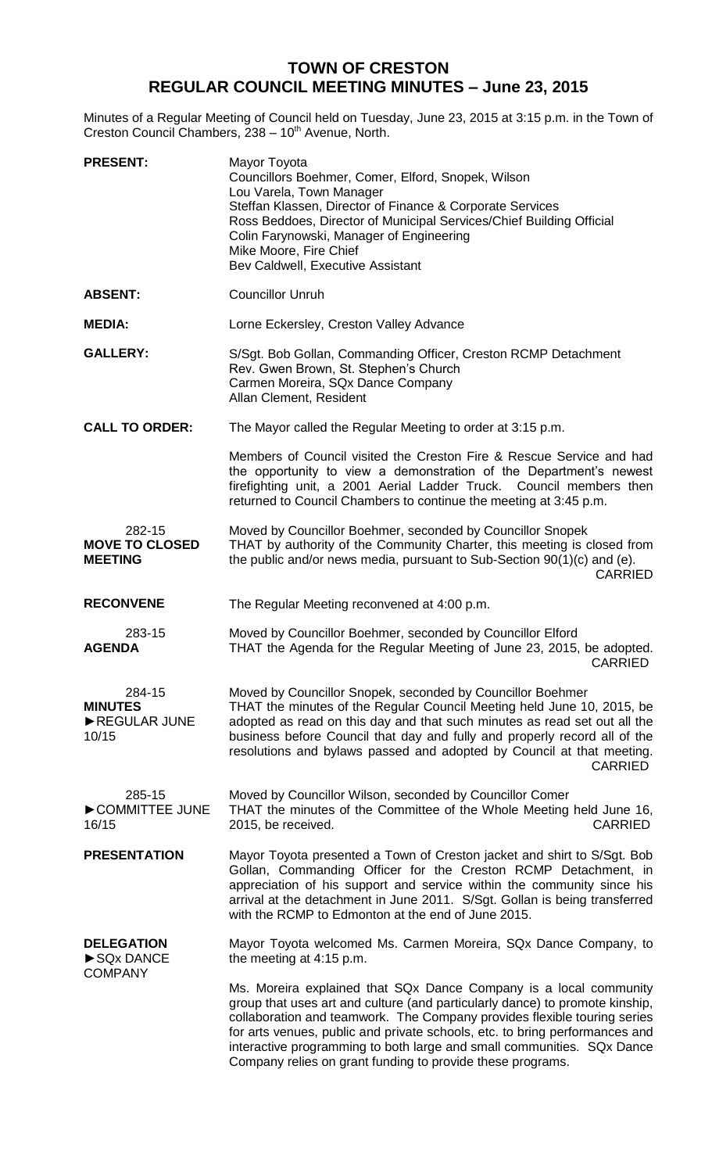## **TOWN OF CRESTON REGULAR COUNCIL MEETING MINUTES – June 23, 2015**

Minutes of a Regular Meeting of Council held on Tuesday, June 23, 2015 at 3:15 p.m. in the Town of Creston Council Chambers, 238 - 10<sup>th</sup> Avenue, North.

| <b>PRESENT:</b>                                   | Mayor Toyota<br>Councillors Boehmer, Comer, Elford, Snopek, Wilson<br>Lou Varela, Town Manager<br>Steffan Klassen, Director of Finance & Corporate Services<br>Ross Beddoes, Director of Municipal Services/Chief Building Official<br>Colin Farynowski, Manager of Engineering<br>Mike Moore, Fire Chief<br>Bev Caldwell, Executive Assistant                                                                                                       |
|---------------------------------------------------|------------------------------------------------------------------------------------------------------------------------------------------------------------------------------------------------------------------------------------------------------------------------------------------------------------------------------------------------------------------------------------------------------------------------------------------------------|
| <b>ABSENT:</b>                                    | <b>Councillor Unruh</b>                                                                                                                                                                                                                                                                                                                                                                                                                              |
| <b>MEDIA:</b>                                     | Lorne Eckersley, Creston Valley Advance                                                                                                                                                                                                                                                                                                                                                                                                              |
| <b>GALLERY:</b>                                   | S/Sgt. Bob Gollan, Commanding Officer, Creston RCMP Detachment<br>Rev. Gwen Brown, St. Stephen's Church<br>Carmen Moreira, SQx Dance Company<br>Allan Clement, Resident                                                                                                                                                                                                                                                                              |
| <b>CALL TO ORDER:</b>                             | The Mayor called the Regular Meeting to order at 3:15 p.m.                                                                                                                                                                                                                                                                                                                                                                                           |
|                                                   | Members of Council visited the Creston Fire & Rescue Service and had<br>the opportunity to view a demonstration of the Department's newest<br>firefighting unit, a 2001 Aerial Ladder Truck. Council members then<br>returned to Council Chambers to continue the meeting at 3:45 p.m.                                                                                                                                                               |
| 282-15<br><b>MOVE TO CLOSED</b><br><b>MEETING</b> | Moved by Councillor Boehmer, seconded by Councillor Snopek<br>THAT by authority of the Community Charter, this meeting is closed from<br>the public and/or news media, pursuant to Sub-Section 90(1)(c) and (e).<br><b>CARRIED</b>                                                                                                                                                                                                                   |
| <b>RECONVENE</b>                                  | The Regular Meeting reconvened at 4:00 p.m.                                                                                                                                                                                                                                                                                                                                                                                                          |
| 283-15<br><b>AGENDA</b>                           | Moved by Councillor Boehmer, seconded by Councillor Elford<br>THAT the Agenda for the Regular Meeting of June 23, 2015, be adopted.<br><b>CARRIED</b>                                                                                                                                                                                                                                                                                                |
| 284-15<br><b>MINUTES</b><br>REGULAR JUNE<br>10/15 | Moved by Councillor Snopek, seconded by Councillor Boehmer<br>THAT the minutes of the Regular Council Meeting held June 10, 2015, be<br>adopted as read on this day and that such minutes as read set out all the<br>business before Council that day and fully and properly record all of the<br>resolutions and bylaws passed and adopted by Council at that meeting.<br><b>CARRIED</b>                                                            |
| 285-15<br>COMMITTEE JUNE<br>16/15                 | Moved by Councillor Wilson, seconded by Councillor Comer<br>THAT the minutes of the Committee of the Whole Meeting held June 16,<br><b>CARRIED</b><br>2015, be received.                                                                                                                                                                                                                                                                             |
| <b>PRESENTATION</b>                               | Mayor Toyota presented a Town of Creston jacket and shirt to S/Sgt. Bob<br>Gollan, Commanding Officer for the Creston RCMP Detachment, in<br>appreciation of his support and service within the community since his<br>arrival at the detachment in June 2011. S/Sgt. Gollan is being transferred<br>with the RCMP to Edmonton at the end of June 2015.                                                                                              |
| <b>DELEGATION</b><br>SQx DANCE<br><b>COMPANY</b>  | Mayor Toyota welcomed Ms. Carmen Moreira, SQx Dance Company, to<br>the meeting at 4:15 p.m.                                                                                                                                                                                                                                                                                                                                                          |
|                                                   | Ms. Moreira explained that SQx Dance Company is a local community<br>group that uses art and culture (and particularly dance) to promote kinship,<br>collaboration and teamwork. The Company provides flexible touring series<br>for arts venues, public and private schools, etc. to bring performances and<br>interactive programming to both large and small communities. SQx Dance<br>Company relies on grant funding to provide these programs. |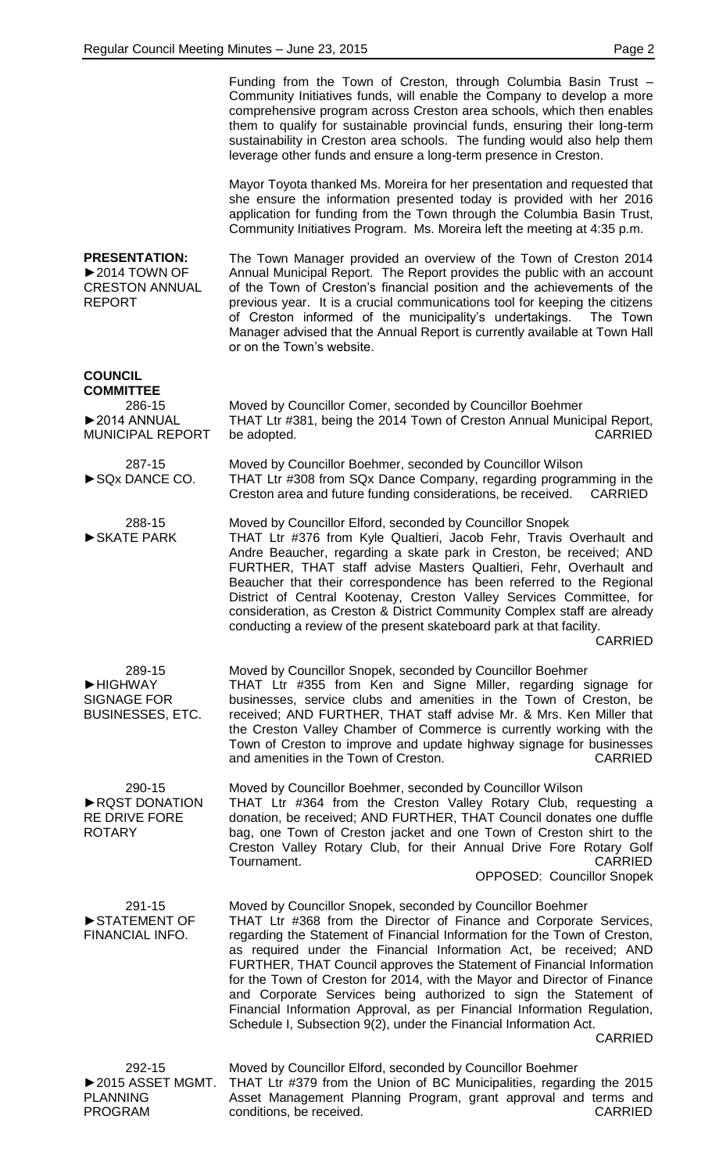|                                                                                                 | Funding from the Town of Creston, through Columbia Basin Trust -<br>Community Initiatives funds, will enable the Company to develop a more<br>comprehensive program across Creston area schools, which then enables<br>them to qualify for sustainable provincial funds, ensuring their long-term<br>sustainability in Creston area schools. The funding would also help them<br>leverage other funds and ensure a long-term presence in Creston.                                                                                                                                                                                                                              |
|-------------------------------------------------------------------------------------------------|--------------------------------------------------------------------------------------------------------------------------------------------------------------------------------------------------------------------------------------------------------------------------------------------------------------------------------------------------------------------------------------------------------------------------------------------------------------------------------------------------------------------------------------------------------------------------------------------------------------------------------------------------------------------------------|
|                                                                                                 | Mayor Toyota thanked Ms. Moreira for her presentation and requested that<br>she ensure the information presented today is provided with her 2016<br>application for funding from the Town through the Columbia Basin Trust,<br>Community Initiatives Program. Ms. Moreira left the meeting at 4:35 p.m.                                                                                                                                                                                                                                                                                                                                                                        |
| <b>PRESENTATION:</b><br>$\triangleright$ 2014 TOWN OF<br><b>CRESTON ANNUAL</b><br><b>REPORT</b> | The Town Manager provided an overview of the Town of Creston 2014<br>Annual Municipal Report. The Report provides the public with an account<br>of the Town of Creston's financial position and the achievements of the<br>previous year. It is a crucial communications tool for keeping the citizens<br>of Creston informed of the municipality's undertakings.<br>The Town<br>Manager advised that the Annual Report is currently available at Town Hall<br>or on the Town's website.                                                                                                                                                                                       |
| <b>COUNCIL</b><br><b>COMMITTEE</b><br>286-15<br>▶2014 ANNUAL<br><b>MUNICIPAL REPORT</b>         | Moved by Councillor Comer, seconded by Councillor Boehmer<br>THAT Ltr #381, being the 2014 Town of Creston Annual Municipal Report,<br><b>CARRIED</b><br>be adopted.                                                                                                                                                                                                                                                                                                                                                                                                                                                                                                           |
| 287-15<br>SQx DANCE CO.                                                                         | Moved by Councillor Boehmer, seconded by Councillor Wilson<br>THAT Ltr #308 from SQx Dance Company, regarding programming in the<br>Creston area and future funding considerations, be received.<br><b>CARRIED</b>                                                                                                                                                                                                                                                                                                                                                                                                                                                             |
| 288-15<br>SKATE PARK                                                                            | Moved by Councillor Elford, seconded by Councillor Snopek<br>THAT Ltr #376 from Kyle Qualtieri, Jacob Fehr, Travis Overhault and<br>Andre Beaucher, regarding a skate park in Creston, be received; AND<br>FURTHER, THAT staff advise Masters Qualtieri, Fehr, Overhault and<br>Beaucher that their correspondence has been referred to the Regional<br>District of Central Kootenay, Creston Valley Services Committee, for<br>consideration, as Creston & District Community Complex staff are already<br>conducting a review of the present skateboard park at that facility.<br><b>CARRIED</b>                                                                             |
| 289-15<br>HIGHWAY<br><b>SIGNAGE FOR</b><br><b>BUSINESSES, ETC.</b>                              | Moved by Councillor Snopek, seconded by Councillor Boehmer<br>THAT Ltr #355 from Ken and Signe Miller, regarding signage for<br>businesses, service clubs and amenities in the Town of Creston, be<br>received; AND FURTHER, THAT staff advise Mr. & Mrs. Ken Miller that<br>the Creston Valley Chamber of Commerce is currently working with the<br>Town of Creston to improve and update highway signage for businesses<br>and amenities in the Town of Creston.<br><b>CARRIED</b>                                                                                                                                                                                           |
| 290-15<br>RQST DONATION<br><b>RE DRIVE FORE</b><br><b>ROTARY</b>                                | Moved by Councillor Boehmer, seconded by Councillor Wilson<br>THAT Ltr #364 from the Creston Valley Rotary Club, requesting a<br>donation, be received; AND FURTHER, THAT Council donates one duffle<br>bag, one Town of Creston jacket and one Town of Creston shirt to the<br>Creston Valley Rotary Club, for their Annual Drive Fore Rotary Golf<br>Tournament.<br><b>CARRIED</b><br><b>OPPOSED: Councillor Snopek</b>                                                                                                                                                                                                                                                      |
| 291-15<br>STATEMENT OF<br>FINANCIAL INFO.                                                       | Moved by Councillor Snopek, seconded by Councillor Boehmer<br>THAT Ltr #368 from the Director of Finance and Corporate Services,<br>regarding the Statement of Financial Information for the Town of Creston,<br>as required under the Financial Information Act, be received; AND<br>FURTHER, THAT Council approves the Statement of Financial Information<br>for the Town of Creston for 2014, with the Mayor and Director of Finance<br>and Corporate Services being authorized to sign the Statement of<br>Financial Information Approval, as per Financial Information Regulation,<br>Schedule I, Subsection 9(2), under the Financial Information Act.<br><b>CARRIED</b> |
| 292-15<br>▶ 2015 ASSET MGMT.<br><b>PLANNING</b><br><b>PROGRAM</b>                               | Moved by Councillor Elford, seconded by Councillor Boehmer<br>THAT Ltr #379 from the Union of BC Municipalities, regarding the 2015<br>Asset Management Planning Program, grant approval and terms and<br><b>CARRIED</b><br>conditions, be received.                                                                                                                                                                                                                                                                                                                                                                                                                           |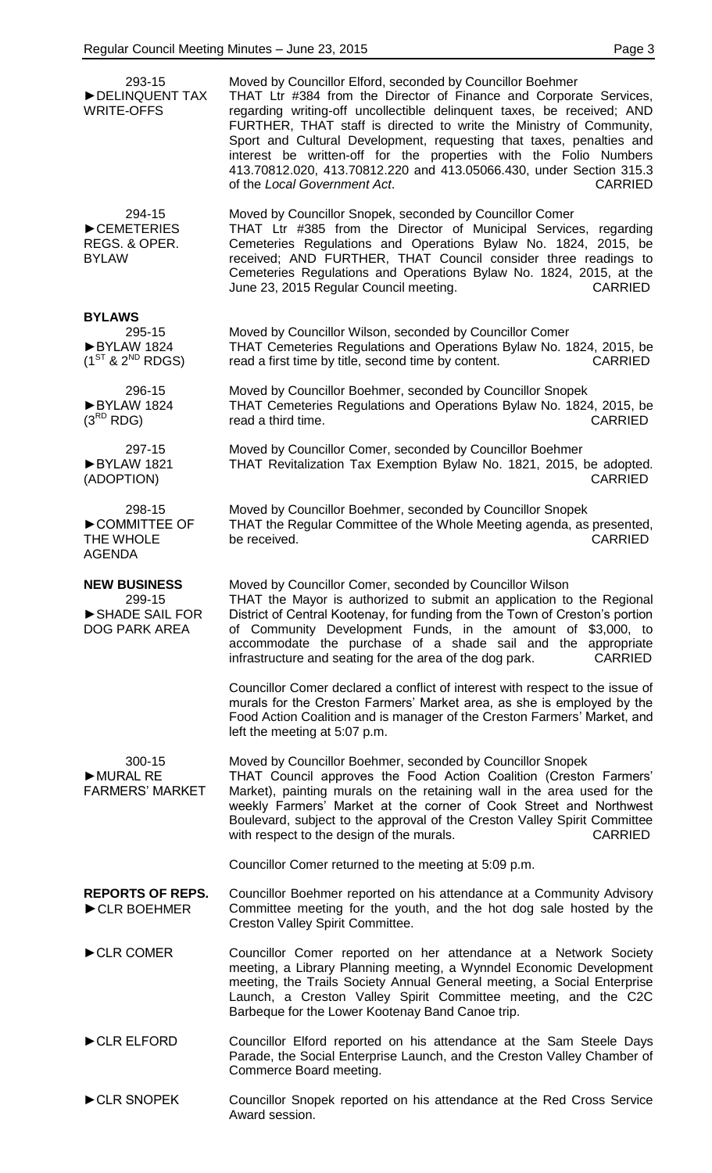| 293-15<br>DELINQUENT TAX<br><b>WRITE-OFFS</b>                           | Moved by Councillor Elford, seconded by Councillor Boehmer<br>THAT Ltr #384 from the Director of Finance and Corporate Services,<br>regarding writing-off uncollectible delinquent taxes, be received; AND<br>FURTHER, THAT staff is directed to write the Ministry of Community,<br>Sport and Cultural Development, requesting that taxes, penalties and<br>interest be written-off for the properties with the Folio Numbers<br>413.70812.020, 413.70812.220 and 413.05066.430, under Section 315.3<br>of the Local Government Act.<br><b>CARRIED</b> |
|-------------------------------------------------------------------------|---------------------------------------------------------------------------------------------------------------------------------------------------------------------------------------------------------------------------------------------------------------------------------------------------------------------------------------------------------------------------------------------------------------------------------------------------------------------------------------------------------------------------------------------------------|
| 294-15<br>CEMETERIES<br>REGS. & OPER.<br><b>BYLAW</b>                   | Moved by Councillor Snopek, seconded by Councillor Comer<br>THAT Ltr #385 from the Director of Municipal Services, regarding<br>Cemeteries Regulations and Operations Bylaw No. 1824, 2015, be<br>received; AND FURTHER, THAT Council consider three readings to<br>Cemeteries Regulations and Operations Bylaw No. 1824, 2015, at the<br>June 23, 2015 Regular Council meeting.<br><b>CARRIED</b>                                                                                                                                                      |
| <b>BYLAWS</b><br>295-15<br>BYLAW 1824<br>$(1^{ST}$ & $2^{ND}$ RDGS)     | Moved by Councillor Wilson, seconded by Councillor Comer<br>THAT Cemeteries Regulations and Operations Bylaw No. 1824, 2015, be<br><b>CARRIED</b><br>read a first time by title, second time by content.                                                                                                                                                                                                                                                                                                                                                |
| 296-15<br>BYLAW 1824<br>$(3^{RD}$ RDG)                                  | Moved by Councillor Boehmer, seconded by Councillor Snopek<br>THAT Cemeteries Regulations and Operations Bylaw No. 1824, 2015, be<br>read a third time.<br><b>CARRIED</b>                                                                                                                                                                                                                                                                                                                                                                               |
| 297-15<br>BYLAW 1821<br>(ADOPTION)                                      | Moved by Councillor Comer, seconded by Councillor Boehmer<br>THAT Revitalization Tax Exemption Bylaw No. 1821, 2015, be adopted.<br><b>CARRIED</b>                                                                                                                                                                                                                                                                                                                                                                                                      |
| 298-15<br>COMMITTEE OF<br>THE WHOLE<br><b>AGENDA</b>                    | Moved by Councillor Boehmer, seconded by Councillor Snopek<br>THAT the Regular Committee of the Whole Meeting agenda, as presented,<br>be received.<br><b>CARRIED</b>                                                                                                                                                                                                                                                                                                                                                                                   |
| <b>NEW BUSINESS</b><br>299-15<br>SHADE SAIL FOR<br><b>DOG PARK AREA</b> | Moved by Councillor Comer, seconded by Councillor Wilson<br>THAT the Mayor is authorized to submit an application to the Regional<br>District of Central Kootenay, for funding from the Town of Creston's portion<br>of Community Development Funds, in the amount of \$3,000, to<br>accommodate the purchase of a shade sail and the appropriate<br>infrastructure and seating for the area of the dog park.<br><b>CARRIED</b>                                                                                                                         |
|                                                                         | Councillor Comer declared a conflict of interest with respect to the issue of<br>murals for the Creston Farmers' Market area, as she is employed by the<br>Food Action Coalition and is manager of the Creston Farmers' Market, and<br>left the meeting at 5:07 p.m.                                                                                                                                                                                                                                                                                    |
| 300-15<br>MURAL RE<br><b>FARMERS' MARKET</b>                            | Moved by Councillor Boehmer, seconded by Councillor Snopek<br>THAT Council approves the Food Action Coalition (Creston Farmers'<br>Market), painting murals on the retaining wall in the area used for the<br>weekly Farmers' Market at the corner of Cook Street and Northwest<br>Boulevard, subject to the approval of the Creston Valley Spirit Committee<br>with respect to the design of the murals.<br><b>CARRIED</b>                                                                                                                             |
|                                                                         | Councillor Comer returned to the meeting at 5:09 p.m.                                                                                                                                                                                                                                                                                                                                                                                                                                                                                                   |
| <b>REPORTS OF REPS.</b><br>CLR BOEHMER                                  | Councillor Boehmer reported on his attendance at a Community Advisory<br>Committee meeting for the youth, and the hot dog sale hosted by the<br>Creston Valley Spirit Committee.                                                                                                                                                                                                                                                                                                                                                                        |
| CLR COMER                                                               | Councillor Comer reported on her attendance at a Network Society<br>meeting, a Library Planning meeting, a Wynndel Economic Development<br>meeting, the Trails Society Annual General meeting, a Social Enterprise<br>Launch, a Creston Valley Spirit Committee meeting, and the C2C<br>Barbeque for the Lower Kootenay Band Canoe trip.                                                                                                                                                                                                                |
| CLR ELFORD                                                              | Councillor Elford reported on his attendance at the Sam Steele Days<br>Parade, the Social Enterprise Launch, and the Creston Valley Chamber of<br>Commerce Board meeting.                                                                                                                                                                                                                                                                                                                                                                               |
| CLR SNOPEK                                                              | Councillor Snopek reported on his attendance at the Red Cross Service<br>Award session.                                                                                                                                                                                                                                                                                                                                                                                                                                                                 |